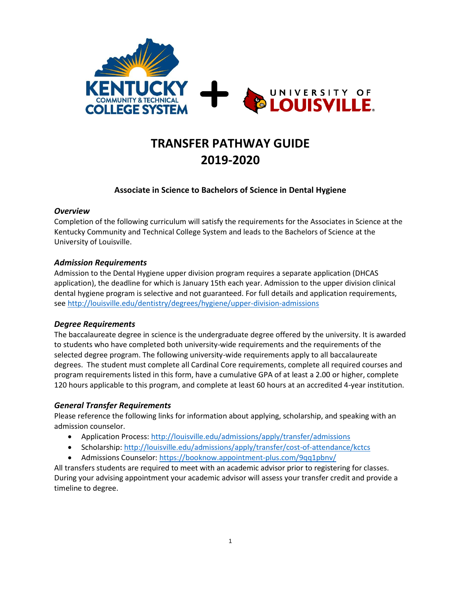

# **TRANSFER PATHWAY GUIDE 2019-2020**

## **Associate in Science to Bachelors of Science in Dental Hygiene**

#### *Overview*

Completion of the following curriculum will satisfy the requirements for the Associates in Science at the Kentucky Community and Technical College System and leads to the Bachelors of Science at the University of Louisville.

## *Admission Requirements*

Admission to the Dental Hygiene upper division program requires a separate application (DHCAS application), the deadline for which is January 15th each year. Admission to the upper division clinical dental hygiene program is selective and not guaranteed. For full details and application requirements, se[e http://louisville.edu/dentistry/degrees/hygiene/upper-division-admissions](http://louisville.edu/dentistry/degrees/hygiene/upper-division-admissions)

#### *Degree Requirements*

The baccalaureate degree in science is the undergraduate degree offered by the university. It is awarded to students who have completed both university-wide requirements and the requirements of the selected degree program. The following university-wide requirements apply to all baccalaureate degrees. The student must complete all Cardinal Core requirements, complete all required courses and program requirements listed in this form, have a cumulative GPA of at least a 2.00 or higher, complete 120 hours applicable to this program, and complete at least 60 hours at an accredited 4-year institution.

## *General Transfer Requirements*

Please reference the following links for information about applying, scholarship, and speaking with an admission counselor.

- Application Process: http://louisville.edu/admissions/apply/transfer/admissions
- Scholarship[: http://louisville.edu/admissions/apply/transfer/cost-of-attendance/kctcs](http://louisville.edu/admissions/apply/transfer/cost-of-attendance/kctcs)
- Admissions Counselor[: https://booknow.appointment-plus.com/9qq1pbnv/](https://booknow.appointment-plus.com/9qq1pbnv/)

All transfers students are required to meet with an academic advisor prior to registering for classes. During your advising appointment your academic advisor will assess your transfer credit and provide a timeline to degree.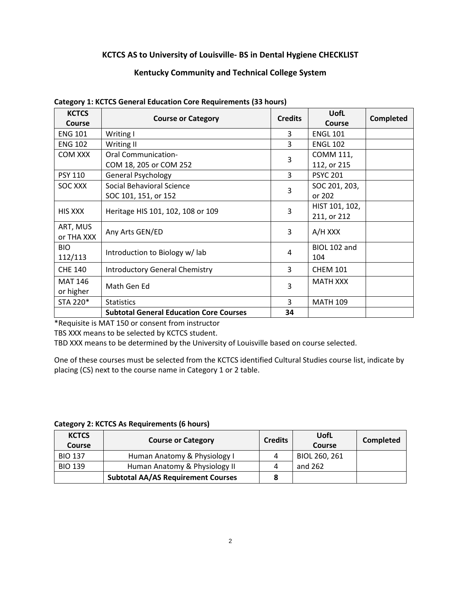### **KCTCS AS to University of Louisville- BS in Dental Hygiene CHECKLIST**

#### **Kentucky Community and Technical College System**

| <b>KCTCS</b><br>Course | <b>Course or Category</b>                      | <b>Credits</b> | <b>UofL</b><br>Course | <b>Completed</b> |
|------------------------|------------------------------------------------|----------------|-----------------------|------------------|
| <b>ENG 101</b>         | Writing I                                      | 3              | <b>ENGL 101</b>       |                  |
| <b>ENG 102</b>         | Writing II                                     | 3              | <b>ENGL 102</b>       |                  |
| <b>COM XXX</b>         | <b>Oral Communication-</b>                     | 3              | COMM 111,             |                  |
|                        | COM 18, 205 or COM 252                         |                | 112, or 215           |                  |
| <b>PSY 110</b>         | <b>General Psychology</b>                      | 3              | <b>PSYC 201</b>       |                  |
| SOC XXX                | Social Behavioral Science                      | 3              | SOC 201, 203,         |                  |
|                        | SOC 101, 151, or 152                           |                | or 202                |                  |
| <b>HIS XXX</b>         | Heritage HIS 101, 102, 108 or 109              | 3              | HIST 101, 102,        |                  |
|                        |                                                |                | 211, or 212           |                  |
| ART, MUS<br>or THA XXX | Any Arts GEN/ED                                | 3              | A/H XXX               |                  |
| <b>BIO</b>             | Introduction to Biology w/lab                  | 4              | BIOL 102 and          |                  |
| 112/113                |                                                |                | 104                   |                  |
| <b>CHE 140</b>         | <b>Introductory General Chemistry</b>          | 3              | <b>CHEM 101</b>       |                  |
| <b>MAT 146</b>         | Math Gen Ed                                    | 3              | <b>MATH XXX</b>       |                  |
| or higher              |                                                |                |                       |                  |
| STA 220*               | <b>Statistics</b>                              | 3              | <b>MATH 109</b>       |                  |
|                        | <b>Subtotal General Education Core Courses</b> | 34             |                       |                  |

#### **Category 1: KCTCS General Education Core Requirements (33 hours)**

\*Requisite is MAT 150 or consent from instructor

TBS XXX means to be selected by KCTCS student.

TBD XXX means to be determined by the University of Louisville based on course selected.

One of these courses must be selected from the KCTCS identified Cultural Studies course list, indicate by placing (CS) next to the course name in Category 1 or 2 table.

**Category 2: KCTCS As Requirements (6 hours)**

| <b>KCTCS</b><br>Course | <b>Course or Category</b>                 | <b>Credits</b> | UofL<br><b>Course</b> | Completed |
|------------------------|-------------------------------------------|----------------|-----------------------|-----------|
| <b>BIO 137</b>         | Human Anatomy & Physiology I              |                | BIOL 260, 261         |           |
| <b>BIO 139</b>         | Human Anatomy & Physiology II             |                | and 262               |           |
|                        | <b>Subtotal AA/AS Requirement Courses</b> |                |                       |           |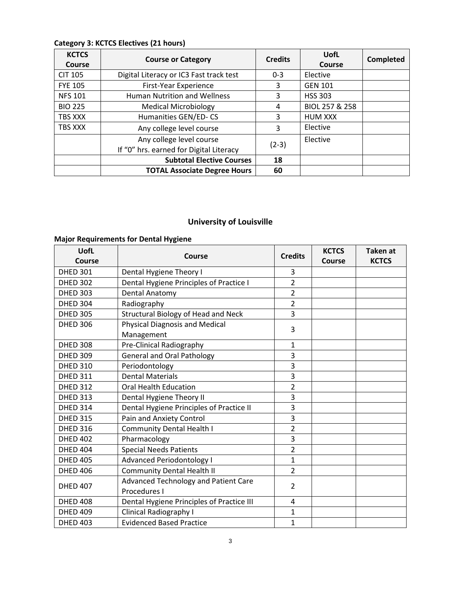# **Category 3: KCTCS Electives (21 hours)**

| <b>KCTCS</b><br>Course | <b>Course or Category</b>               | <b>Credits</b> | UofL<br>Course | <b>Completed</b> |
|------------------------|-----------------------------------------|----------------|----------------|------------------|
| <b>CIT 105</b>         | Digital Literacy or IC3 Fast track test | $0 - 3$        | Elective       |                  |
| <b>FYE 105</b>         | First-Year Experience                   | 3              | <b>GEN 101</b> |                  |
| <b>NFS 101</b>         | <b>Human Nutrition and Wellness</b>     | 3              | <b>HSS 303</b> |                  |
| <b>BIO 225</b>         | <b>Medical Microbiology</b>             | 4              | BIOL 257 & 258 |                  |
| TBS XXX                | Humanities GEN/ED-CS                    | 3              | <b>HUM XXX</b> |                  |
| <b>TBS XXX</b>         | Any college level course                | 3              | Elective       |                  |
|                        | Any college level course                | $(2-3)$        | Elective       |                  |
|                        | If "0" hrs. earned for Digital Literacy |                |                |                  |
|                        | <b>Subtotal Elective Courses</b>        | 18             |                |                  |
|                        | <b>TOTAL Associate Degree Hours</b>     | 60             |                |                  |

# **University of Louisville**

# **Major Requirements for Dental Hygiene**

| UofL<br>Course  | <b>Course</b>                                               | <b>Credits</b> | <b>KCTCS</b><br>Course | <b>Taken at</b><br><b>KCTCS</b> |
|-----------------|-------------------------------------------------------------|----------------|------------------------|---------------------------------|
| <b>DHED 301</b> | Dental Hygiene Theory I                                     | 3              |                        |                                 |
| <b>DHED 302</b> | Dental Hygiene Principles of Practice I                     | $\overline{2}$ |                        |                                 |
| <b>DHED 303</b> | Dental Anatomy                                              | $\overline{2}$ |                        |                                 |
| <b>DHED 304</b> | Radiography                                                 | $\overline{2}$ |                        |                                 |
| <b>DHED 305</b> | Structural Biology of Head and Neck                         | 3              |                        |                                 |
| <b>DHED 306</b> | <b>Physical Diagnosis and Medical</b><br>Management         | 3              |                        |                                 |
| <b>DHED 308</b> | Pre-Clinical Radiography                                    | $\mathbf{1}$   |                        |                                 |
| <b>DHED 309</b> | <b>General and Oral Pathology</b>                           | 3              |                        |                                 |
| <b>DHED 310</b> | Periodontology                                              | 3              |                        |                                 |
| <b>DHED 311</b> | <b>Dental Materials</b>                                     | 3              |                        |                                 |
| <b>DHED 312</b> | <b>Oral Health Education</b>                                | $\overline{2}$ |                        |                                 |
| <b>DHED 313</b> | Dental Hygiene Theory II                                    | 3              |                        |                                 |
| <b>DHED 314</b> | Dental Hygiene Principles of Practice II                    | 3              |                        |                                 |
| <b>DHED 315</b> | Pain and Anxiety Control                                    | 3              |                        |                                 |
| <b>DHED 316</b> | <b>Community Dental Health I</b>                            | $\overline{2}$ |                        |                                 |
| <b>DHED 402</b> | Pharmacology                                                | 3              |                        |                                 |
| <b>DHED 404</b> | <b>Special Needs Patients</b>                               | $\overline{2}$ |                        |                                 |
| <b>DHED 405</b> | <b>Advanced Periodontology I</b>                            | $\mathbf{1}$   |                        |                                 |
| <b>DHED 406</b> | <b>Community Dental Health II</b>                           | $\overline{2}$ |                        |                                 |
| <b>DHED 407</b> | <b>Advanced Technology and Patient Care</b><br>Procedures I | $\overline{2}$ |                        |                                 |
| <b>DHED 408</b> | Dental Hygiene Principles of Practice III                   | 4              |                        |                                 |
| <b>DHED 409</b> | Clinical Radiography I                                      | $\mathbf{1}$   |                        |                                 |
| <b>DHED 403</b> | <b>Evidenced Based Practice</b>                             | $\mathbf{1}$   |                        |                                 |